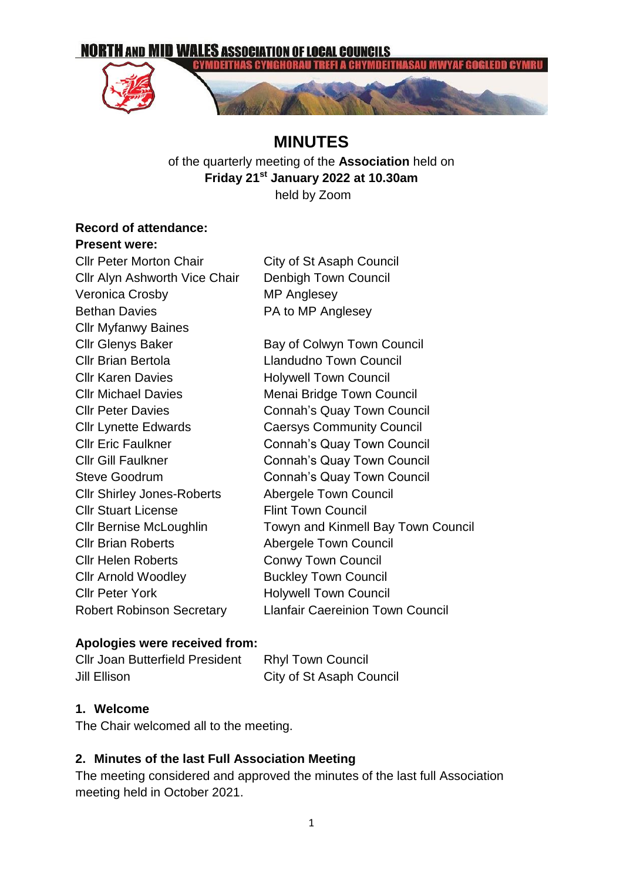

# **MINUTES**

of the quarterly meeting of the **Association** held on **Friday 21st January 2022 at 10.30am** held by Zoom

# **Record of attendance:**

#### **Present were:**

| <b>Cllr Peter Morton Chair</b>    | City of St Asaph Council                  |
|-----------------------------------|-------------------------------------------|
| Cllr Alyn Ashworth Vice Chair     | Denbigh Town Council                      |
| Veronica Crosby                   | <b>MP Anglesey</b>                        |
| <b>Bethan Davies</b>              | PA to MP Anglesey                         |
| <b>Cllr Myfanwy Baines</b>        |                                           |
| <b>Cllr Glenys Baker</b>          | Bay of Colwyn Town Council                |
| <b>Cllr Brian Bertola</b>         | <b>Llandudno Town Council</b>             |
| <b>Cllr Karen Davies</b>          | <b>Holywell Town Council</b>              |
| <b>Cllr Michael Davies</b>        | Menai Bridge Town Council                 |
| <b>CIIr Peter Davies</b>          | Connah's Quay Town Council                |
| <b>Cllr Lynette Edwards</b>       | <b>Caersys Community Council</b>          |
| <b>Cllr Eric Faulkner</b>         | <b>Connah's Quay Town Council</b>         |
| <b>Cllr Gill Faulkner</b>         | <b>Connah's Quay Town Council</b>         |
| <b>Steve Goodrum</b>              | <b>Connah's Quay Town Council</b>         |
| <b>CIIr Shirley Jones-Roberts</b> | <b>Abergele Town Council</b>              |
| <b>CIIr Stuart License</b>        | <b>Flint Town Council</b>                 |
| Cllr Bernise McLoughlin           | <b>Towyn and Kinmell Bay Town Council</b> |
| <b>Cllr Brian Roberts</b>         | <b>Abergele Town Council</b>              |
| <b>Cllr Helen Roberts</b>         | <b>Conwy Town Council</b>                 |
| <b>Cllr Arnold Woodley</b>        | <b>Buckley Town Council</b>               |
| <b>Cllr Peter York</b>            | <b>Holywell Town Council</b>              |
| <b>Robert Robinson Secretary</b>  | <b>Llanfair Caereinion Town Council</b>   |
|                                   |                                           |

#### **Apologies were received from:**

| <b>CIIr Joan Butterfield President</b> | <b>Rhyl Town Council</b> |
|----------------------------------------|--------------------------|
| Jill Ellison                           | City of St Asaph Council |

#### **1. Welcome**

The Chair welcomed all to the meeting.

# **2. Minutes of the last Full Association Meeting**

The meeting considered and approved the minutes of the last full Association meeting held in October 2021.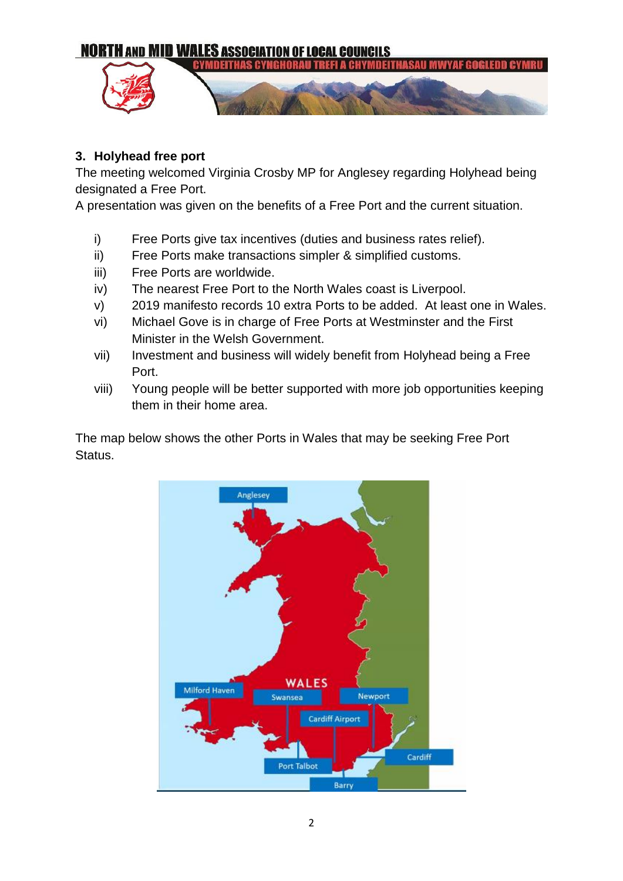

# **3. Holyhead free port**

The meeting welcomed Virginia Crosby MP for Anglesey regarding Holyhead being designated a Free Port.

A presentation was given on the benefits of a Free Port and the current situation.

- i) Free Ports give tax incentives (duties and business rates relief).
- ii) Free Ports make transactions simpler & simplified customs.
- iii) Free Ports are worldwide.
- iv) The nearest Free Port to the North Wales coast is Liverpool.
- v) 2019 manifesto records 10 extra Ports to be added. At least one in Wales.
- vi) Michael Gove is in charge of Free Ports at Westminster and the First Minister in the Welsh Government.
- vii) Investment and business will widely benefit from Holyhead being a Free Port.
- viii) Young people will be better supported with more job opportunities keeping them in their home area.

The map below shows the other Ports in Wales that may be seeking Free Port Status.

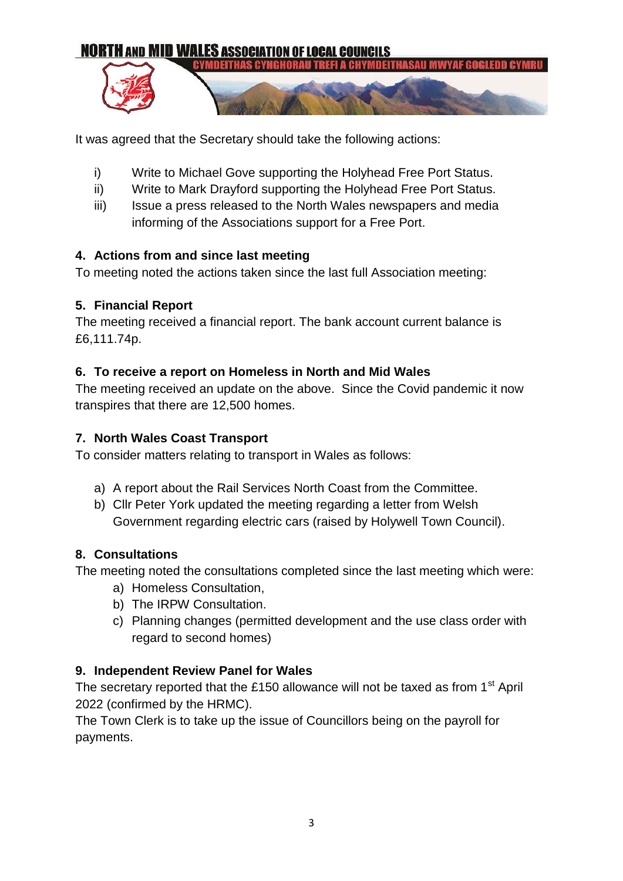

It was agreed that the Secretary should take the following actions:

- i) Write to Michael Gove supporting the Holyhead Free Port Status.
- ii) Write to Mark Drayford supporting the Holyhead Free Port Status.
- iii) Issue a press released to the North Wales newspapers and media informing of the Associations support for a Free Port.

#### **4. Actions from and since last meeting**

To meeting noted the actions taken since the last full Association meeting:

#### **5. Financial Report**

The meeting received a financial report. The bank account current balance is £6,111.74p.

#### **6. To receive a report on Homeless in North and Mid Wales**

The meeting received an update on the above. Since the Covid pandemic it now transpires that there are 12,500 homes.

# **7. North Wales Coast Transport**

To consider matters relating to transport in Wales as follows:

- a) A report about the Rail Services North Coast from the Committee.
- b) Cllr Peter York updated the meeting regarding a letter from Welsh Government regarding electric cars (raised by Holywell Town Council).

# **8. Consultations**

The meeting noted the consultations completed since the last meeting which were:

- a) Homeless Consultation,
- b) The IRPW Consultation.
- c) Planning changes (permitted development and the use class order with regard to second homes)

# **9. Independent Review Panel for Wales**

The secretary reported that the £150 allowance will not be taxed as from  $1<sup>st</sup>$  April 2022 (confirmed by the HRMC).

The Town Clerk is to take up the issue of Councillors being on the payroll for payments.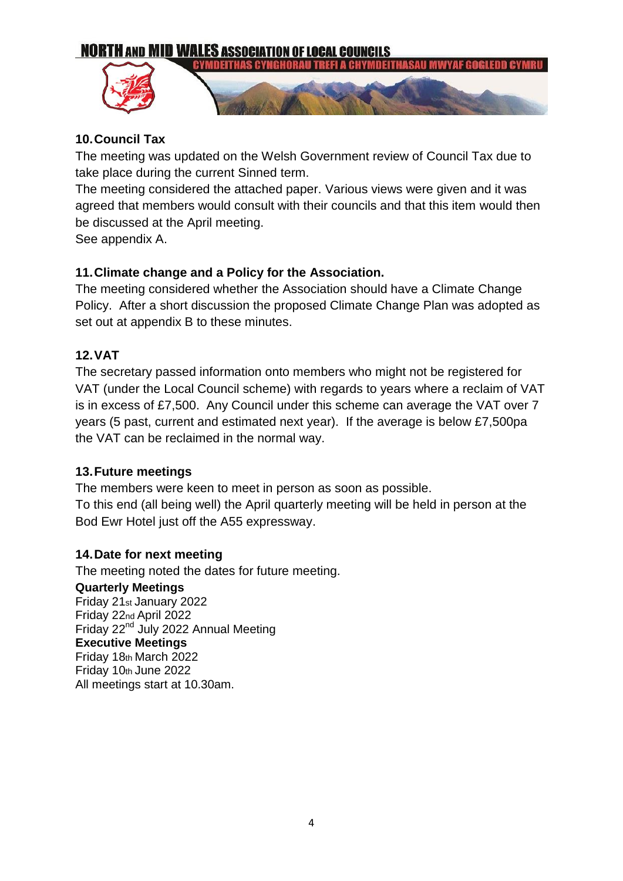#### **NORTH AND MID WALES ASSOCIATION OF LOCAL COUNCILS** YMDEITHAS CYNG



# **10.Council Tax**

The meeting was updated on the Welsh Government review of Council Tax due to take place during the current Sinned term.

The meeting considered the attached paper. Various views were given and it was agreed that members would consult with their councils and that this item would then be discussed at the April meeting.

See appendix A.

# **11.Climate change and a Policy for the Association.**

The meeting considered whether the Association should have a Climate Change Policy. After a short discussion the proposed Climate Change Plan was adopted as set out at appendix B to these minutes.

#### **12.VAT**

The secretary passed information onto members who might not be registered for VAT (under the Local Council scheme) with regards to years where a reclaim of VAT is in excess of £7,500. Any Council under this scheme can average the VAT over 7 years (5 past, current and estimated next year). If the average is below £7,500pa the VAT can be reclaimed in the normal way.

#### **13.Future meetings**

The members were keen to meet in person as soon as possible. To this end (all being well) the April quarterly meeting will be held in person at the Bod Ewr Hotel just off the A55 expressway.

# **14.Date for next meeting**

The meeting noted the dates for future meeting. **Quarterly Meetings**  Friday 21st January 2022 Friday 22nd April 2022 Friday 22<sup>nd</sup> July 2022 Annual Meeting **Executive Meetings** Friday 18th March 2022 Friday 10th June 2022 All meetings start at 10.30am.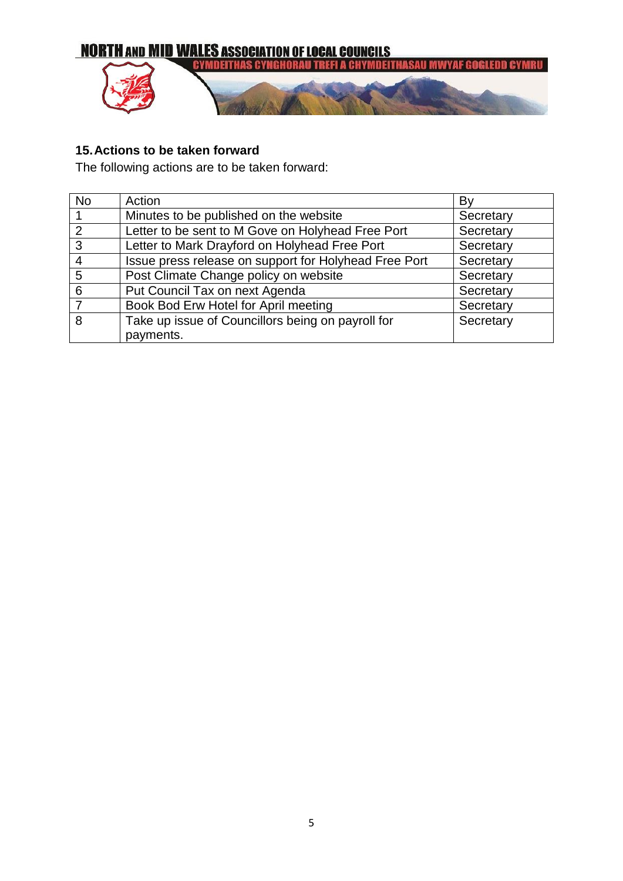

# **15.Actions to be taken forward**

The following actions are to be taken forward:

| <b>No</b> | Action                                                | B١        |
|-----------|-------------------------------------------------------|-----------|
|           | Minutes to be published on the website                | Secretary |
| 2         | Letter to be sent to M Gove on Holyhead Free Port     | Secretary |
| 3         | Letter to Mark Drayford on Holyhead Free Port         | Secretary |
|           | Issue press release on support for Holyhead Free Port | Secretary |
| 5         | Post Climate Change policy on website                 | Secretary |
| 6         | Put Council Tax on next Agenda                        | Secretary |
|           | Book Bod Erw Hotel for April meeting                  | Secretary |
| 8         | Take up issue of Councillors being on payroll for     | Secretary |
|           | payments.                                             |           |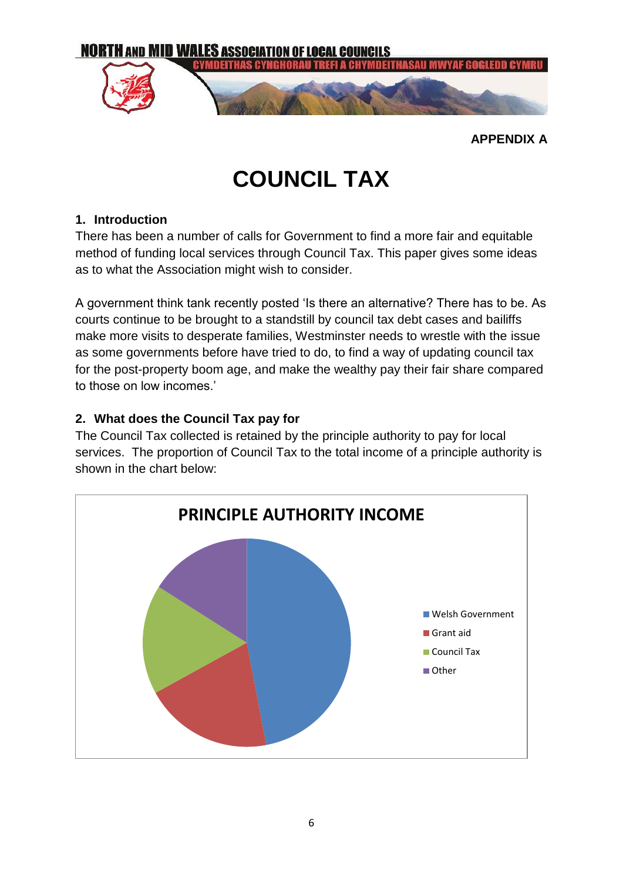

**APPENDIX A**

# **COUNCIL TAX**

#### **1. Introduction**

There has been a number of calls for Government to find a more fair and equitable method of funding local services through Council Tax. This paper gives some ideas as to what the Association might wish to consider.

A government think tank recently posted 'Is there an alternative? There has to be. As courts continue to be brought to a standstill by council tax debt cases and bailiffs make more visits to desperate families, Westminster needs to wrestle with the issue as some governments before have tried to do, to find a way of updating council tax for the post-property boom age, and make the wealthy pay their fair share compared to those on low incomes.'

# **2. What does the Council Tax pay for**

The Council Tax collected is retained by the principle authority to pay for local services. The proportion of Council Tax to the total income of a principle authority is shown in the chart below:

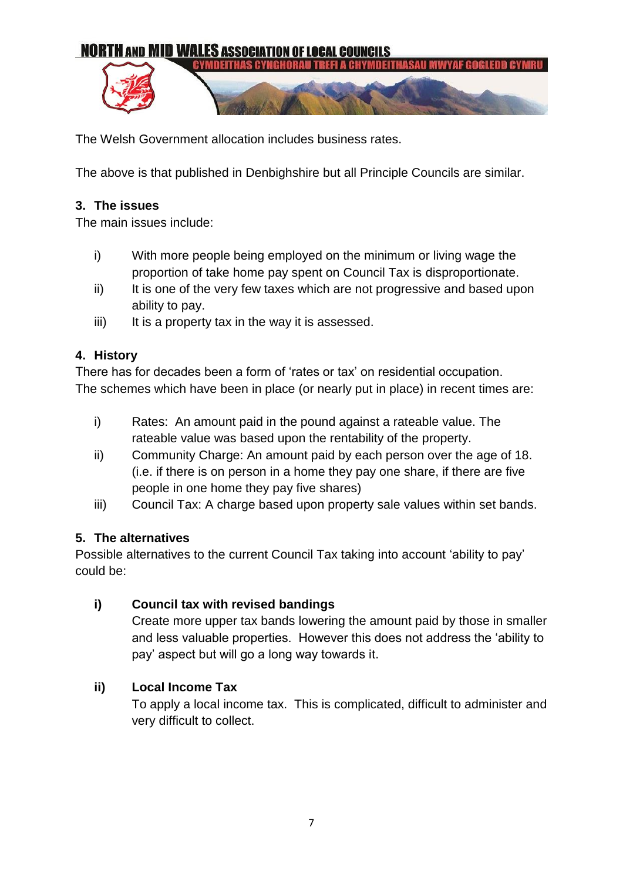

The Welsh Government allocation includes business rates.

The above is that published in Denbighshire but all Principle Councils are similar.

#### **3. The issues**

The main issues include:

- i) With more people being employed on the minimum or living wage the proportion of take home pay spent on Council Tax is disproportionate.
- ii) It is one of the very few taxes which are not progressive and based upon ability to pay.
- $iii)$  It is a property tax in the way it is assessed.

#### **4. History**

There has for decades been a form of 'rates or tax' on residential occupation. The schemes which have been in place (or nearly put in place) in recent times are:

- i) Rates: An amount paid in the pound against a rateable value. The rateable value was based upon the rentability of the property.
- ii) Community Charge: An amount paid by each person over the age of 18. (i.e. if there is on person in a home they pay one share, if there are five people in one home they pay five shares)
- iii) Council Tax: A charge based upon property sale values within set bands.

# **5. The alternatives**

Possible alternatives to the current Council Tax taking into account 'ability to pay' could be:

# **i) Council tax with revised bandings**

Create more upper tax bands lowering the amount paid by those in smaller and less valuable properties. However this does not address the 'ability to pay' aspect but will go a long way towards it.

# **ii) Local Income Tax**

To apply a local income tax. This is complicated, difficult to administer and very difficult to collect.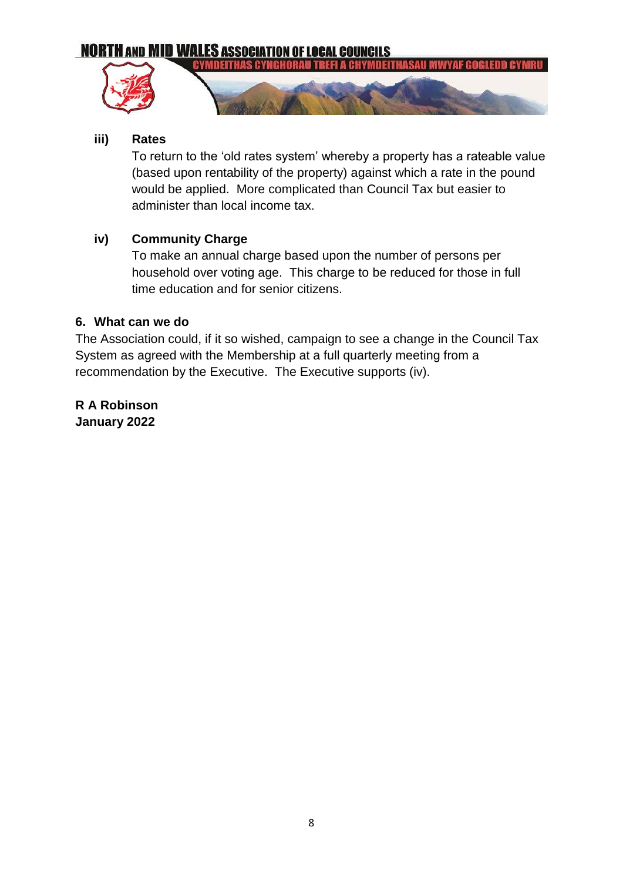# **NORTH AND MID WALES ASSOCIATION OF LOCAL COUNCILS**





#### **iii) Rates**

To return to the 'old rates system' whereby a property has a rateable value (based upon rentability of the property) against which a rate in the pound would be applied. More complicated than Council Tax but easier to administer than local income tax.

#### **iv) Community Charge**

To make an annual charge based upon the number of persons per household over voting age. This charge to be reduced for those in full time education and for senior citizens.

#### **6. What can we do**

The Association could, if it so wished, campaign to see a change in the Council Tax System as agreed with the Membership at a full quarterly meeting from a recommendation by the Executive. The Executive supports (iv).

**R A Robinson January 2022**